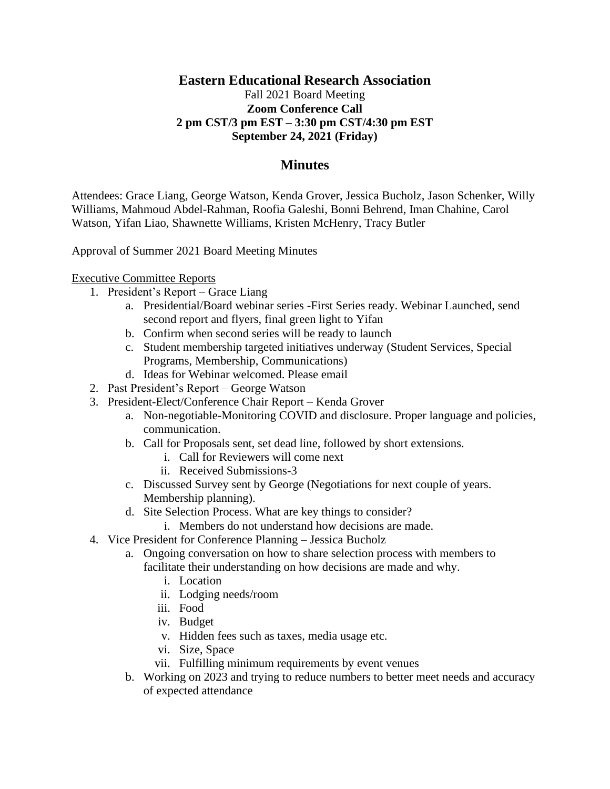# **Eastern Educational Research Association**

### Fall 2021 Board Meeting **Zoom Conference Call 2 pm CST/3 pm EST – 3:30 pm CST/4:30 pm EST September 24, 2021 (Friday)**

### **Minutes**

Attendees: Grace Liang, George Watson, Kenda Grover, Jessica Bucholz, Jason Schenker, Willy Williams, Mahmoud Abdel-Rahman, Roofia Galeshi, Bonni Behrend, Iman Chahine, Carol Watson, Yifan Liao, Shawnette Williams, Kristen McHenry, Tracy Butler

Approval of Summer 2021 Board Meeting Minutes

#### Executive Committee Reports

- 1. President's Report Grace Liang
	- a. Presidential/Board webinar series -First Series ready. Webinar Launched, send second report and flyers, final green light to Yifan
	- b. Confirm when second series will be ready to launch
	- c. Student membership targeted initiatives underway (Student Services, Special Programs, Membership, Communications)
	- d. Ideas for Webinar welcomed. Please email
- 2. Past President's Report George Watson
- 3. President-Elect/Conference Chair Report Kenda Grover
	- a. Non-negotiable-Monitoring COVID and disclosure. Proper language and policies, communication.
	- b. Call for Proposals sent, set dead line, followed by short extensions.
		- i. Call for Reviewers will come next
		- ii. Received Submissions-3
	- c. Discussed Survey sent by George (Negotiations for next couple of years. Membership planning).
	- d. Site Selection Process. What are key things to consider?
		- i. Members do not understand how decisions are made.
- 4. Vice President for Conference Planning Jessica Bucholz
	- a. Ongoing conversation on how to share selection process with members to facilitate their understanding on how decisions are made and why.
		- i. Location
		- ii. Lodging needs/room
		- iii. Food
		- iv. Budget
		- v. Hidden fees such as taxes, media usage etc.
		- vi. Size, Space
		- vii. Fulfilling minimum requirements by event venues
	- b. Working on 2023 and trying to reduce numbers to better meet needs and accuracy of expected attendance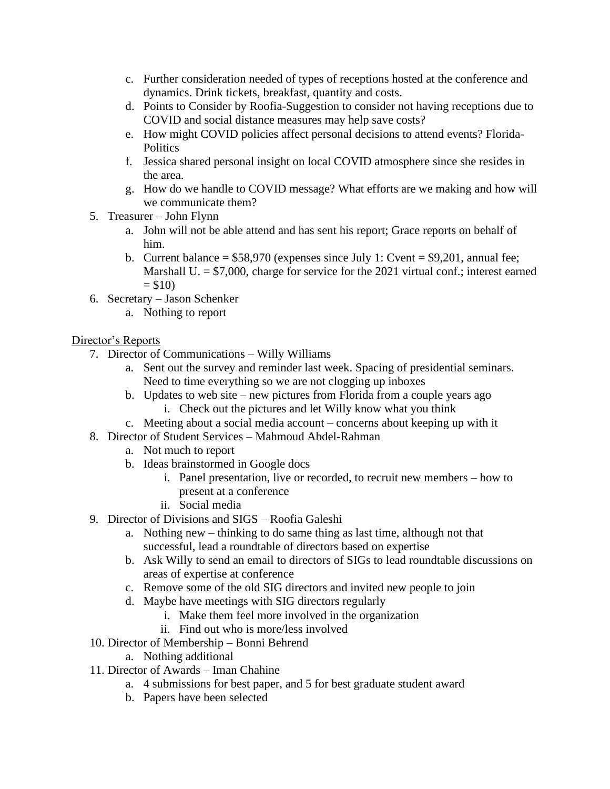- c. Further consideration needed of types of receptions hosted at the conference and dynamics. Drink tickets, breakfast, quantity and costs.
- d. Points to Consider by Roofia-Suggestion to consider not having receptions due to COVID and social distance measures may help save costs?
- e. How might COVID policies affect personal decisions to attend events? Florida-**Politics**
- f. Jessica shared personal insight on local COVID atmosphere since she resides in the area.
- g. How do we handle to COVID message? What efforts are we making and how will we communicate them?
- 5. Treasurer John Flynn
	- a. John will not be able attend and has sent his report; Grace reports on behalf of him.
	- b. Current balance =  $$58,970$  (expenses since July 1: Cvent =  $$9,201$ , annual fee; Marshall U.  $= $7,000$ , charge for service for the 2021 virtual conf.; interest earned  $= $10$
- 6. Secretary Jason Schenker
	- a. Nothing to report

# Director's Reports

- 7. Director of Communications Willy Williams
	- a. Sent out the survey and reminder last week. Spacing of presidential seminars. Need to time everything so we are not clogging up inboxes
	- b. Updates to web site new pictures from Florida from a couple years ago i. Check out the pictures and let Willy know what you think
	- c. Meeting about a social media account concerns about keeping up with it
- 8. Director of Student Services Mahmoud Abdel-Rahman
	- a. Not much to report
	- b. Ideas brainstormed in Google docs
		- i. Panel presentation, live or recorded, to recruit new members how to present at a conference
		- ii. Social media
- 9. Director of Divisions and SIGS Roofia Galeshi
	- a. Nothing new thinking to do same thing as last time, although not that successful, lead a roundtable of directors based on expertise
	- b. Ask Willy to send an email to directors of SIGs to lead roundtable discussions on areas of expertise at conference
	- c. Remove some of the old SIG directors and invited new people to join
	- d. Maybe have meetings with SIG directors regularly
		- i. Make them feel more involved in the organization
		- ii. Find out who is more/less involved
- 10. Director of Membership Bonni Behrend
	- a. Nothing additional
- 11. Director of Awards Iman Chahine
	- a. 4 submissions for best paper, and 5 for best graduate student award
	- b. Papers have been selected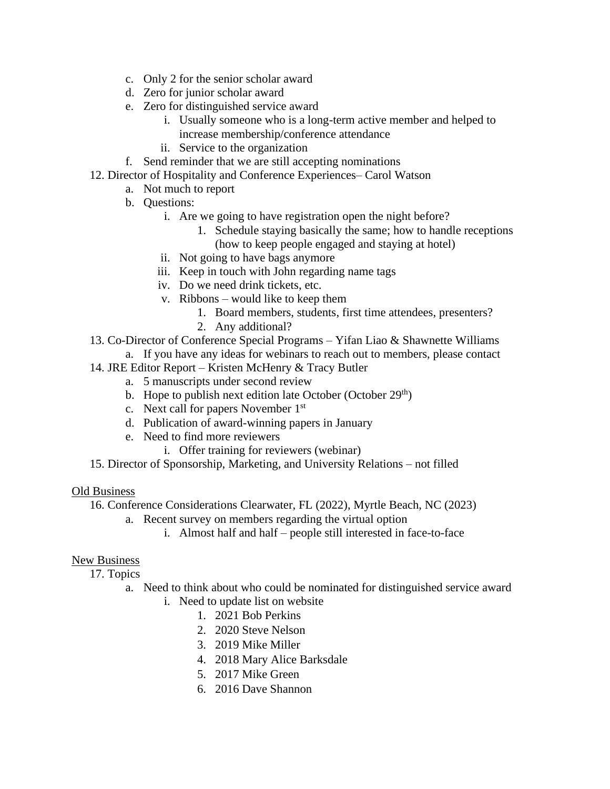- c. Only 2 for the senior scholar award
- d. Zero for junior scholar award
- e. Zero for distinguished service award
	- i. Usually someone who is a long-term active member and helped to
		- increase membership/conference attendance
	- ii. Service to the organization
- f. Send reminder that we are still accepting nominations
- 12. Director of Hospitality and Conference Experiences– Carol Watson
	- a. Not much to report
	- b. Questions:
		- i. Are we going to have registration open the night before?
			- 1. Schedule staying basically the same; how to handle receptions
			- (how to keep people engaged and staying at hotel)
		- ii. Not going to have bags anymore
		- iii. Keep in touch with John regarding name tags
		- iv. Do we need drink tickets, etc.
		- v. Ribbons would like to keep them
			- 1. Board members, students, first time attendees, presenters?
			- 2. Any additional?
- 13. Co-Director of Conference Special Programs Yifan Liao & Shawnette Williams
	- a. If you have any ideas for webinars to reach out to members, please contact
- 14. JRE Editor Report Kristen McHenry & Tracy Butler
	- a. 5 manuscripts under second review
	- b. Hope to publish next edition late October (October  $29<sup>th</sup>$ )
	- c. Next call for papers November 1st
	- d. Publication of award-winning papers in January
	- e. Need to find more reviewers
		- i. Offer training for reviewers (webinar)
- 15. Director of Sponsorship, Marketing, and University Relations not filled

#### Old Business

- 16. Conference Considerations Clearwater, FL (2022), Myrtle Beach, NC (2023)
	- a. Recent survey on members regarding the virtual option
		- i. Almost half and half people still interested in face-to-face

### New Business

17. Topics

- a. Need to think about who could be nominated for distinguished service award
	- i. Need to update list on website
		- 1. 2021 Bob Perkins
		- 2. 2020 Steve Nelson
		- 3. 2019 Mike Miller
		- 4. 2018 Mary Alice Barksdale
		- 5. 2017 Mike Green
		- 6. 2016 Dave Shannon